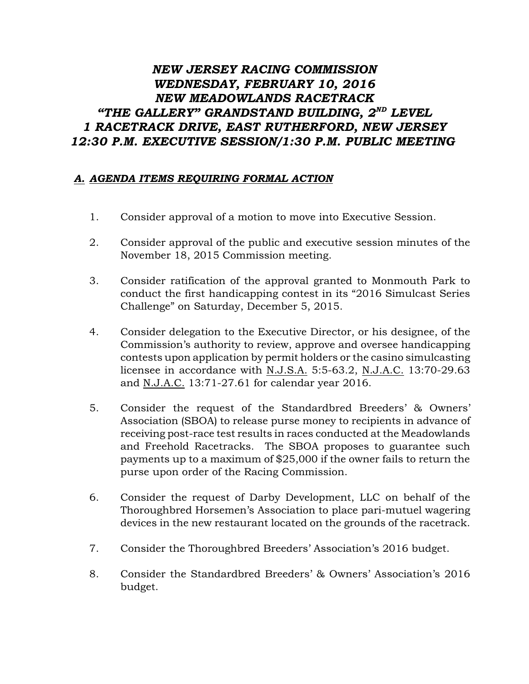## *NEW JERSEY RACING COMMISSION WEDNESDAY, FEBRUARY 10, 2016 NEW MEADOWLANDS RACETRACK* "THE GALLERY" GRANDSTAND BUILDING,  $2^{ND}$  LEVEL *1 RACETRACK DRIVE, EAST RUTHERFORD, NEW JERSEY 12:30 P.M. EXECUTIVE SESSION/1:30 P.M. PUBLIC MEETING*

## *A. AGENDA ITEMS REQUIRING FORMAL ACTION*

- 1. Consider approval of a motion to move into Executive Session.
- 2. Consider approval of the public and executive session minutes of the November 18, 2015 Commission meeting.
- 3. Consider ratification of the approval granted to Monmouth Park to conduct the first handicapping contest in its "2016 Simulcast Series Challenge" on Saturday, December 5, 2015.
- 4. Consider delegation to the Executive Director, or his designee, of the Commission's authority to review, approve and oversee handicapping contests upon application by permit holders or the casino simulcasting licensee in accordance with N.J.S.A. 5:5-63.2, N.J.A.C. 13:70-29.63 and N.J.A.C. 13:71-27.61 for calendar year 2016.
- 5. Consider the request of the Standardbred Breeders' & Owners' Association (SBOA) to release purse money to recipients in advance of receiving post-race test results in races conducted at the Meadowlands and Freehold Racetracks. The SBOA proposes to guarantee such payments up to a maximum of \$25,000 if the owner fails to return the purse upon order of the Racing Commission.
- 6. Consider the request of Darby Development, LLC on behalf of the Thoroughbred Horsemen's Association to place pari-mutuel wagering devices in the new restaurant located on the grounds of the racetrack.
- 7. Consider the Thoroughbred Breeders' Association's 2016 budget.
- 8. Consider the Standardbred Breeders' & Owners' Association's 2016 budget.